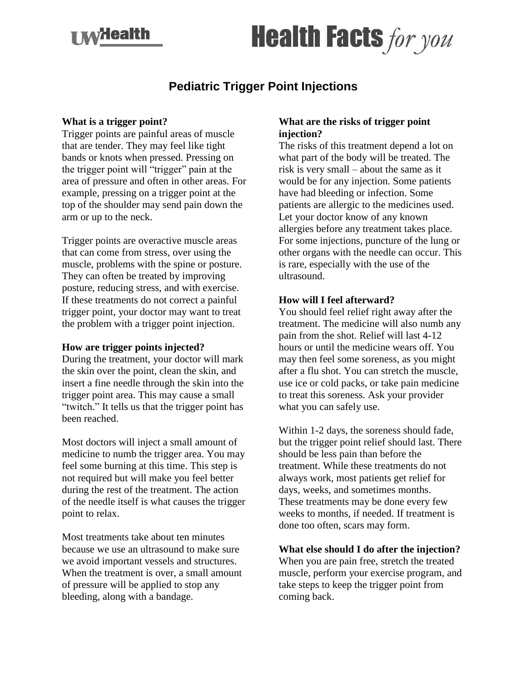## **xazlealth**

# **Health Facts for you**

### **Pediatric Trigger Point Injections**

#### **What is a trigger point?**

Trigger points are painful areas of muscle that are tender. They may feel like tight bands or knots when pressed. Pressing on the trigger point will "trigger" pain at the area of pressure and often in other areas. For example, pressing on a trigger point at the top of the shoulder may send pain down the arm or up to the neck.

Trigger points are overactive muscle areas that can come from stress, over using the muscle, problems with the spine or posture. They can often be treated by improving posture, reducing stress, and with exercise. If these treatments do not correct a painful trigger point, your doctor may want to treat the problem with a trigger point injection.

#### **How are trigger points injected?**

During the treatment, your doctor will mark the skin over the point, clean the skin, and insert a fine needle through the skin into the trigger point area. This may cause a small "twitch." It tells us that the trigger point has been reached.

Most doctors will inject a small amount of medicine to numb the trigger area. You may feel some burning at this time. This step is not required but will make you feel better during the rest of the treatment. The action of the needle itself is what causes the trigger point to relax.

Most treatments take about ten minutes because we use an ultrasound to make sure we avoid important vessels and structures. When the treatment is over, a small amount of pressure will be applied to stop any bleeding, along with a bandage.

#### **What are the risks of trigger point injection?**

The risks of this treatment depend a lot on what part of the body will be treated. The risk is very small – about the same as it would be for any injection. Some patients have had bleeding or infection. Some patients are allergic to the medicines used. Let your doctor know of any known allergies before any treatment takes place. For some injections, puncture of the lung or other organs with the needle can occur. This is rare, especially with the use of the ultrasound.

#### **How will I feel afterward?**

You should feel relief right away after the treatment. The medicine will also numb any pain from the shot. Relief will last 4-12 hours or until the medicine wears off. You may then feel some soreness, as you might after a flu shot. You can stretch the muscle, use ice or cold packs, or take pain medicine to treat this soreness. Ask your provider what you can safely use.

Within 1-2 days, the soreness should fade, but the trigger point relief should last. There should be less pain than before the treatment. While these treatments do not always work, most patients get relief for days, weeks, and sometimes months. These treatments may be done every few weeks to months, if needed. If treatment is done too often, scars may form.

#### **What else should I do after the injection?**

When you are pain free, stretch the treated muscle, perform your exercise program, and take steps to keep the trigger point from coming back.